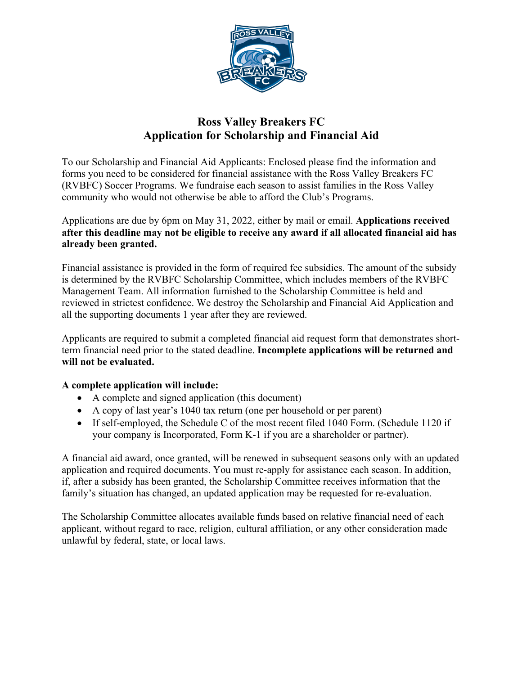

## **Ross Valley Breakers FC Application for Scholarship and Financial Aid**

To our Scholarship and Financial Aid Applicants: Enclosed please find the information and forms you need to be considered for financial assistance with the Ross Valley Breakers FC (RVBFC) Soccer Programs. We fundraise each season to assist families in the Ross Valley community who would not otherwise be able to afford the Club's Programs.

Applications are due by 6pm on May 31, 2022, either by mail or email. **Applications received after this deadline may not be eligible to receive any award if all allocated financial aid has already been granted.**

Financial assistance is provided in the form of required fee subsidies. The amount of the subsidy is determined by the RVBFC Scholarship Committee, which includes members of the RVBFC Management Team. All information furnished to the Scholarship Committee is held and reviewed in strictest confidence. We destroy the Scholarship and Financial Aid Application and all the supporting documents 1 year after they are reviewed.

Applicants are required to submit a completed financial aid request form that demonstrates shortterm financial need prior to the stated deadline. **Incomplete applications will be returned and will not be evaluated.**

### **A complete application will include:**

- A complete and signed application (this document)
- A copy of last year's 1040 tax return (one per household or per parent)
- If self-employed, the Schedule C of the most recent filed 1040 Form. (Schedule 1120 if your company is Incorporated, Form K-1 if you are a shareholder or partner).

A financial aid award, once granted, will be renewed in subsequent seasons only with an updated application and required documents. You must re-apply for assistance each season. In addition, if, after a subsidy has been granted, the Scholarship Committee receives information that the family's situation has changed, an updated application may be requested for re-evaluation.

The Scholarship Committee allocates available funds based on relative financial need of each applicant, without regard to race, religion, cultural affiliation, or any other consideration made unlawful by federal, state, or local laws.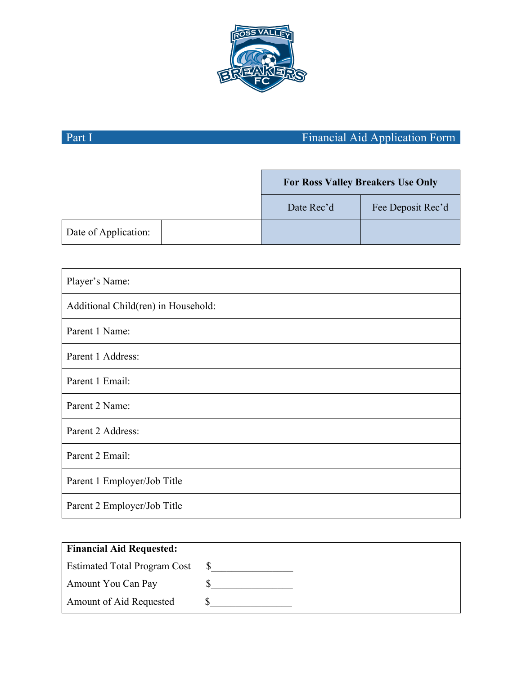

# Part I Financial Aid Application Form

|                      | <b>For Ross Valley Breakers Use Only</b> |                   |
|----------------------|------------------------------------------|-------------------|
|                      | Date Rec'd                               | Fee Deposit Rec'd |
| Date of Application: |                                          |                   |

| Player's Name:                      |  |
|-------------------------------------|--|
| Additional Child(ren) in Household: |  |
| Parent 1 Name:                      |  |
| Parent 1 Address:                   |  |
| Parent 1 Email:                     |  |
| Parent 2 Name:                      |  |
| Parent 2 Address:                   |  |
| Parent 2 Email:                     |  |
| Parent 1 Employer/Job Title         |  |
| Parent 2 Employer/Job Title         |  |

| <b>Financial Aid Requested:</b>     |  |
|-------------------------------------|--|
| <b>Estimated Total Program Cost</b> |  |
| Amount You Can Pay                  |  |
| Amount of Aid Requested             |  |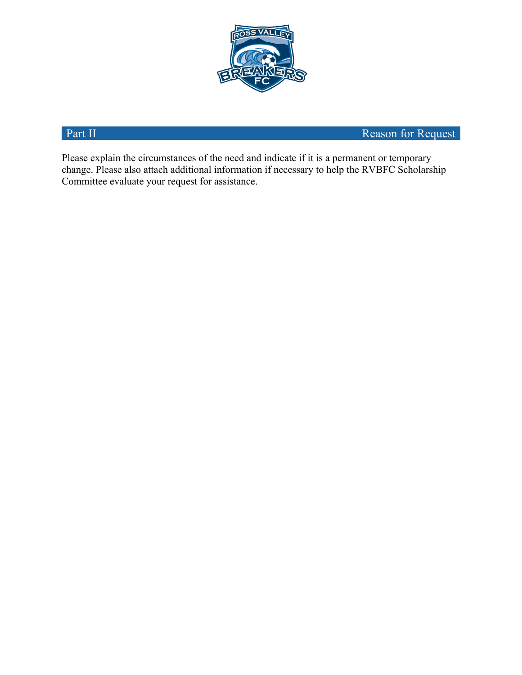

Part II Reason for Request

Please explain the circumstances of the need and indicate if it is a permanent or temporary change. Please also attach additional information if necessary to help the RVBFC Scholarship Committee evaluate your request for assistance.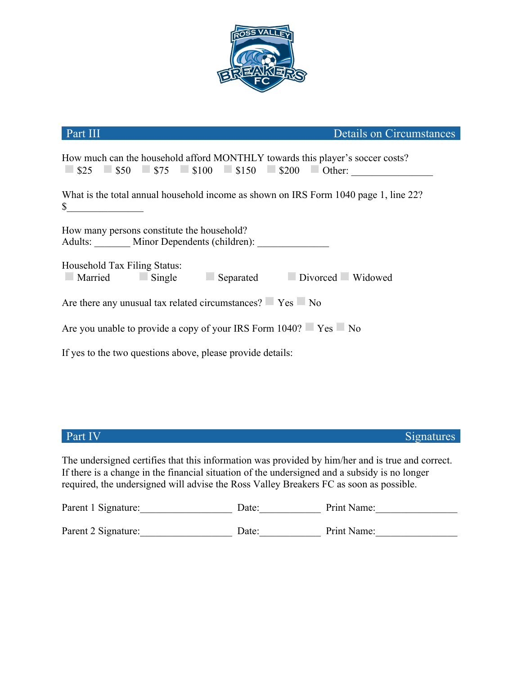

| Part III                                                                                                                                                                                                                          | Details on Circumstances |  |
|-----------------------------------------------------------------------------------------------------------------------------------------------------------------------------------------------------------------------------------|--------------------------|--|
| How much can the household afford MONTHLY towards this player's soccer costs?<br>$\blacksquare$ \$25 $\blacksquare$ \$50 $\blacksquare$ \$75 $\blacksquare$ \$100 $\blacksquare$ \$150 $\blacksquare$ \$200 $\blacksquare$ Other: |                          |  |
| What is the total annual household income as shown on IRS Form 1040 page 1, line 22?<br>$\sim$                                                                                                                                    |                          |  |
| How many persons constitute the household?<br>Adults: _______ Minor Dependents (children): ___________                                                                                                                            |                          |  |
| Household Tax Filing Status:<br>Married Single Separated Divorced Widowed                                                                                                                                                         |                          |  |
| Are there any unusual tax related circumstances?  Yes No                                                                                                                                                                          |                          |  |
| Are you unable to provide a copy of your IRS Form 1040? Yes No                                                                                                                                                                    |                          |  |
| If yes to the two questions above, please provide details:                                                                                                                                                                        |                          |  |
|                                                                                                                                                                                                                                   |                          |  |

**Part IV** Signatures **Signatures** 

The undersigned certifies that this information was provided by him/her and is true and correct. If there is a change in the financial situation of the undersigned and a subsidy is no longer required, the undersigned will advise the Ross Valley Breakers FC as soon as possible.

| Parent 1 Signature: | Date: | Print Name: |
|---------------------|-------|-------------|
| Parent 2 Signature: | Date: | Print Name: |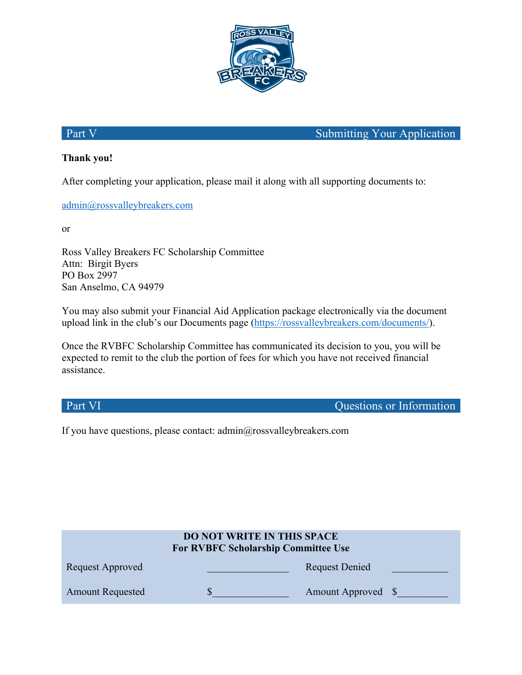

Part V Submitting Your Application

## **Thank you!**

After completing your application, please mail it along with all supporting documents to:

admin@rossvalleybreakers.com

or

Ross Valley Breakers FC Scholarship Committee Attn: Birgit Byers PO Box 2997 San Anselmo, CA 94979

You may also submit your Financial Aid Application package electronically via the document upload link in the club's our Documents page (https://rossvalleybreakers.com/documents/).

Once the RVBFC Scholarship Committee has communicated its decision to you, you will be expected to remit to the club the portion of fees for which you have not received financial assistance.

Part VI Questions or Information

If you have questions, please contact: admin@rossvalleybreakers.com

| <b>DO NOT WRITE IN THIS SPACE</b><br><b>For RVBFC Scholarship Committee Use</b> |  |                    |
|---------------------------------------------------------------------------------|--|--------------------|
| Request Approved                                                                |  | Request Denied     |
| <b>Amount Requested</b>                                                         |  | Amount Approved \, |